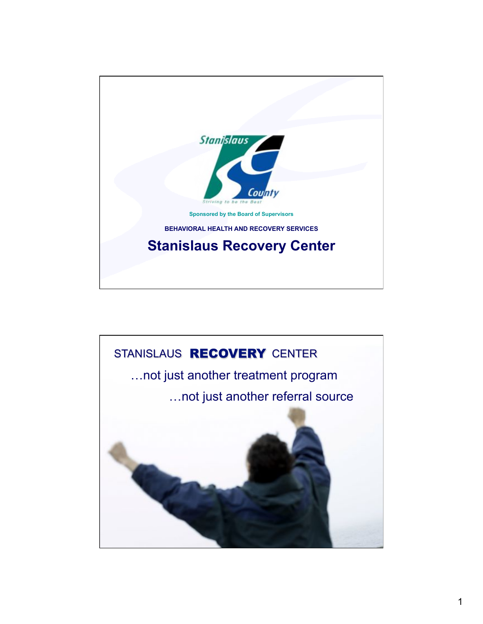

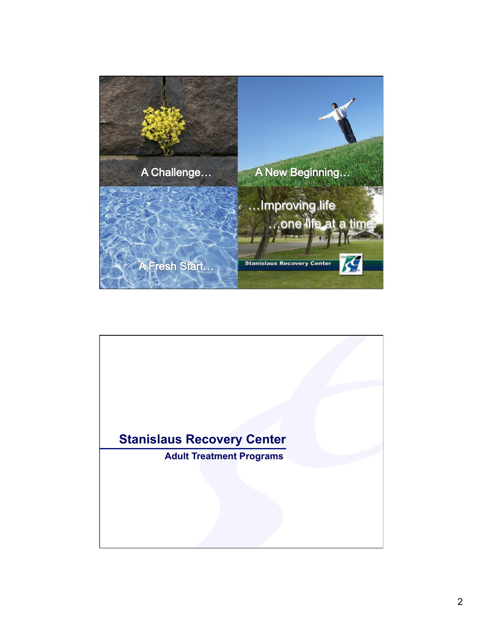

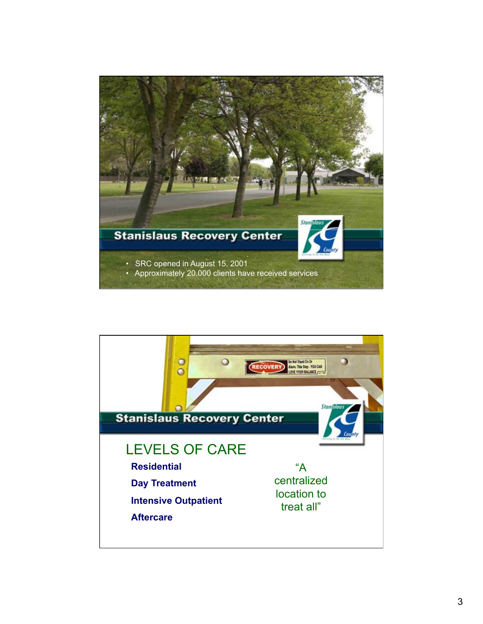

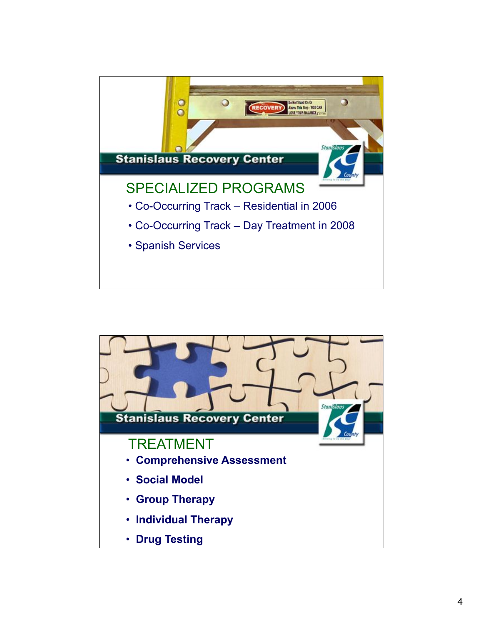

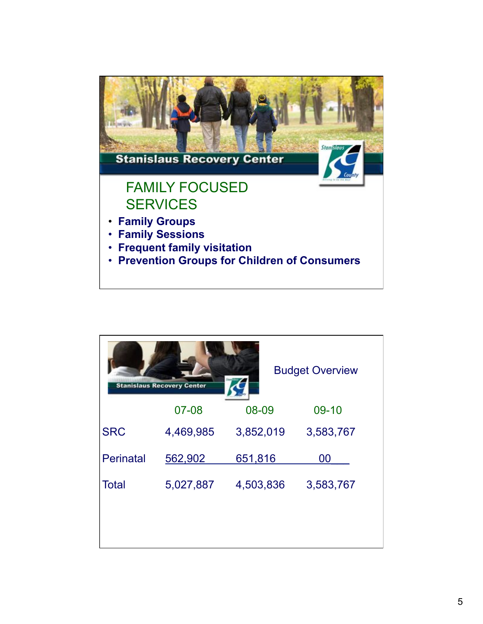

| <b>Budget Overview</b><br><b>Stanislaus Recovery Center</b> |           |           |           |  |
|-------------------------------------------------------------|-----------|-----------|-----------|--|
|                                                             | 07-08     | 08-09     | 09-10     |  |
| <b>SRC</b>                                                  | 4,469,985 | 3,852,019 | 3,583,767 |  |
| <b>Perinatal</b>                                            | 562,902   | 651,816   | 00        |  |
| <b>Total</b>                                                | 5,027,887 | 4,503,836 | 3,583,767 |  |
|                                                             |           |           |           |  |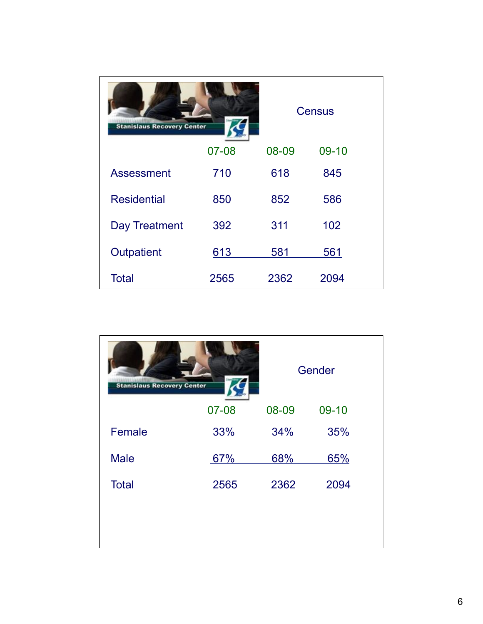| <b>Stanislaus Recovery Center</b> |           | <b>Census</b> |       |
|-----------------------------------|-----------|---------------|-------|
|                                   | $07 - 08$ | 08-09         | 09-10 |
| <b>Assessment</b>                 | 710       | 618           | 845   |
| <b>Residential</b>                | 850       | 852           | 586   |
| Day Treatment                     | 392       | 311           | 102   |
| Outpatient                        | 613       | 581           | 561   |
| <b>Total</b>                      | 2565      | 2362          | 2094  |

| <b>Stanislaus Recovery Center</b> |       | Gender |       |
|-----------------------------------|-------|--------|-------|
|                                   | 07-08 | 08-09  | 09-10 |
| Female                            | 33%   | 34%    | 35%   |
| <b>Male</b>                       | 67%   | 68%    | 65%   |
| <b>Total</b>                      | 2565  | 2362   | 2094  |
|                                   |       |        |       |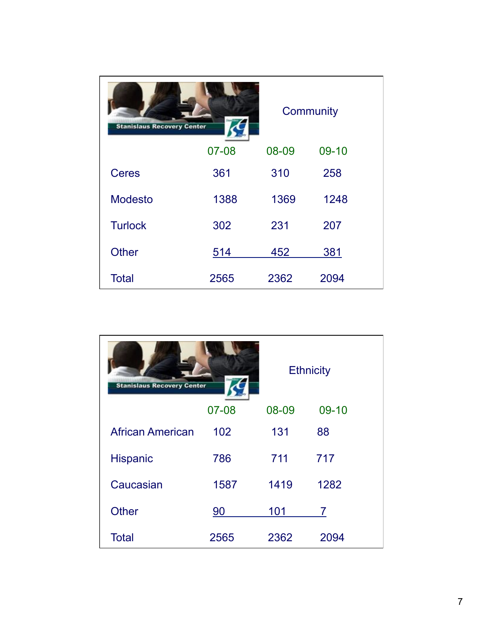| Community<br><b>Stanislaus Recovery Center</b> |       |       |       |
|------------------------------------------------|-------|-------|-------|
|                                                | 07-08 | 08-09 | 09-10 |
| <b>Ceres</b>                                   | 361   | 310   | 258   |
| <b>Modesto</b>                                 | 1388  | 1369  | 1248  |
| <b>Turlock</b>                                 | 302   | 231   | 207   |
| <b>Other</b>                                   | 514   | 452   | 381   |
| <b>Total</b>                                   | 2565  | 2362  | 2094  |

| <b>Ethnicity</b><br><b>Stanislaus Recovery Center</b> |           |       |       |
|-------------------------------------------------------|-----------|-------|-------|
|                                                       | 07-08     | 08-09 | 09-10 |
| <b>African American</b>                               | 102       | 131   | 88    |
| <b>Hispanic</b>                                       | 786       | 711   | 717   |
| Caucasian                                             | 1587      | 1419  | 1282  |
| <b>Other</b>                                          | <u>90</u> | 101   | 7     |
| <b>Total</b>                                          | 2565      | 2362  | 2094  |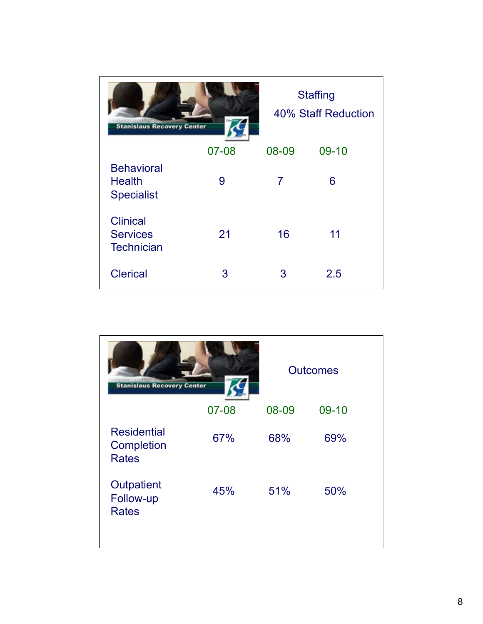| <b>Stanislaus Recovery Center</b>                       |       |                | <b>Staffing</b><br>40% Staff Reduction |  |
|---------------------------------------------------------|-------|----------------|----------------------------------------|--|
|                                                         | 07-08 | 08-09          | 09-10                                  |  |
| <b>Behavioral</b><br><b>Health</b><br><b>Specialist</b> | 9     | $\overline{7}$ | 6                                      |  |
| <b>Clinical</b><br><b>Services</b><br><b>Technician</b> | 21    | 16             | 11                                     |  |
| <b>Clerical</b>                                         | 3     | 3              | 2.5                                    |  |

| <b>Stanislaus Recovery Center</b>                |           | <b>Outcomes</b> |       |  |
|--------------------------------------------------|-----------|-----------------|-------|--|
|                                                  | $07 - 08$ | 08-09           | 09-10 |  |
| <b>Residential</b><br>Completion<br><b>Rates</b> | 67%       | 68%             | 69%   |  |
| Outpatient<br>Follow-up<br><b>Rates</b>          | 45%       | 51%             | 50%   |  |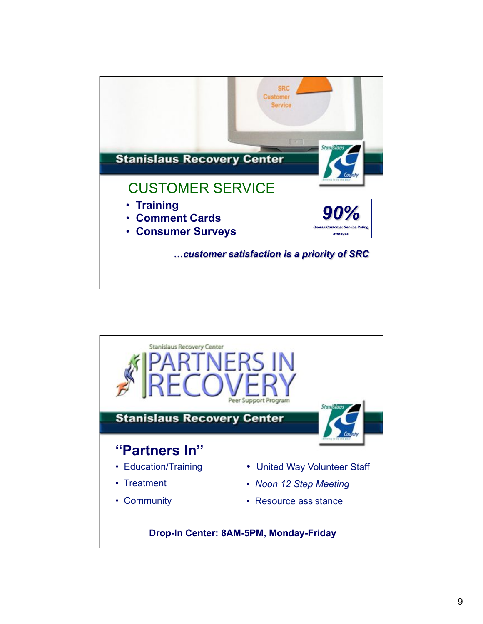